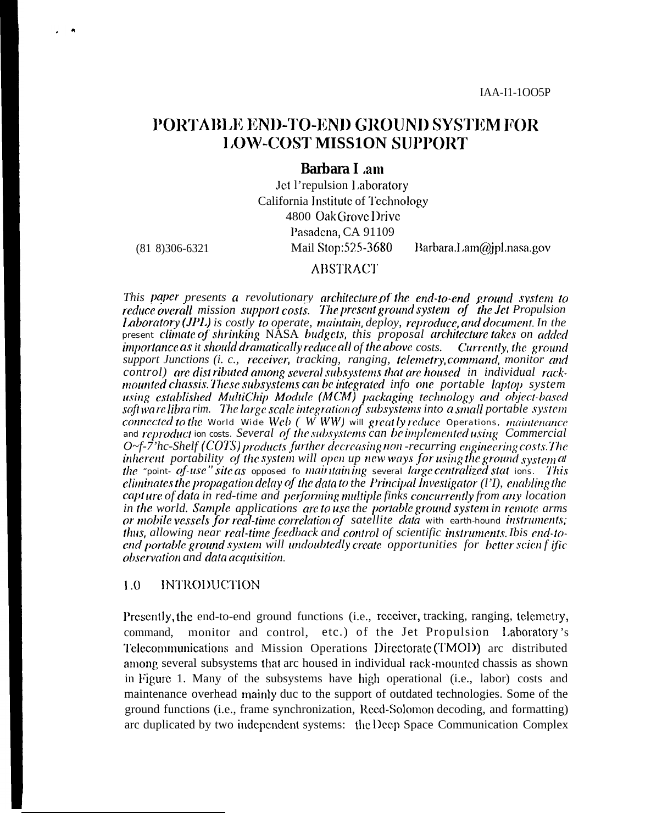# **PORTABLE END-TO-END GROUND SYSTEM FOR LOW-COST MISSION SUPPORT**

### **Barbara I am**

Jet l'repulsion Laboratory California Institute of Technology 4800 Oak Grove Drive Pasadena, CA 91109 Mail Stop:525-3680 Barbara.Lam@jpl.nasa.gov

 $(81 8)306-6321$ 

### **ABSTRACT**

This paper presents a revolutionary architecture of the end-to-end ground system to reduce overall mission support costs. The present ground system of the Jet Propulsion Laboratory (JPL) is costly to operate, maintain, deploy, reproduce, and document. In the present climate of shrinking NASA budgets, this proposal architecture takes on added importance as it should dramatically reduce all of the above costs. Currently, the ground support Junctions (i. c., receiver, tracking, ranging, telemetry, command, monitor and control) are dist ributed among several subsystems that are housed in individual rackmounted chassis. These subsystems can be integrated info one portable laptop system using established MultiChip Module (MCM) packaging technology and object-based<br>softwarelibrarim. The large scale integration of subsystems into a small portable system connected to the World Wide Web  $(WWW)$  will greatly reduce Operations, maintenance and reproduct ion costs. Several of the subsystems can be implemented using Commercial  $O$  -f-7'hc-Shelf (COTS) products further decreasing non-recurring engineering costs. The inherent portability of the system will open up new ways for using the ground system at the "point-of-use" site as opposed to maintaining several large centralized stat ions. This eliminates the propagation delay of the data to the Principal Investigator  $(1)$ , enabling the capt ure of data in red-time and performing multiple finks concurrently from any location in the world. Sample applications are to use the portable ground system in remote arms or mobile vessels for real-time correlation of satellite data with earth-hound instruments; thus, allowing near real-time feedback and control of scientific instruments. Ibis end-to-<br>end portable ground system will undoubtedly create opportunities for better scienf ific observation and data acquisition.

#### **INTRODUCTION**  $1.0$

Presently, the end-to-end ground functions (i.e., receiver, tracking, ranging, telemetry, command, monitor and control, etc.) of the Jet Propulsion Laboratory's Telecommunications and Mission Operations Directorate (TMOD) arc distributed among several subsystems that arc housed in individual rack-mounted chassis as shown in Figure 1. Many of the subsystems have high operational (i.e., labor) costs and maintenance overhead mainly duc to the support of outdated technologies. Some of the ground functions (i.e., frame synchronization, Recd-Solomon decoding, and formatting) arc duplicated by two independent systems: the Deep Space Communication Complex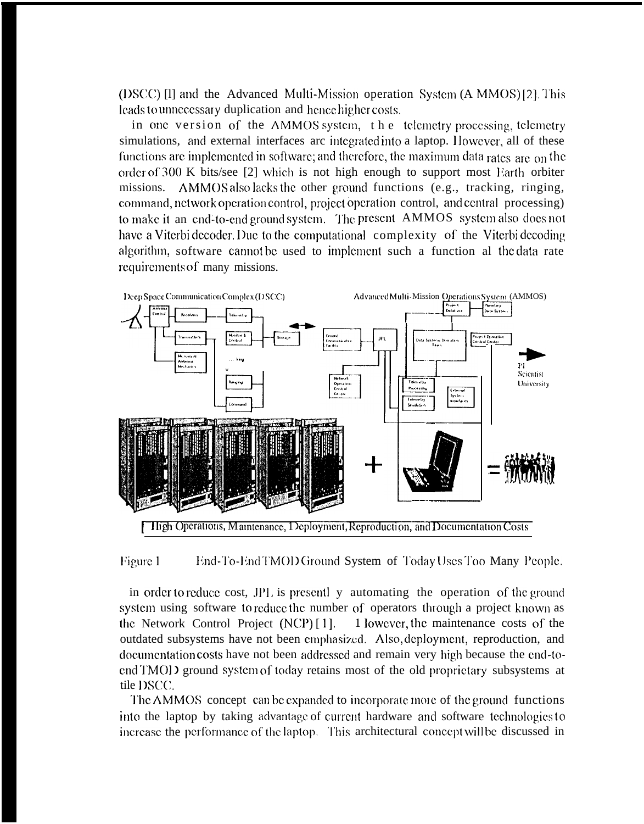(DSCC) [I] and the Advanced Multi-Mission operation System (A MMOS) [2]. This leads to unnecessary duplication and hence higher costs.

in one version of the AMMOS system, the telemetry processing, telemetry simulations, and external interfaces arc integrated into a laptop. However, all of these functions are implemented in software; and therefore, the maximum data rates are on the order of 300 K bits/see [2] which is not high enough to support most Earth orbiter AMMOS also lacks the other ground functions (e.g., tracking, ringing, missions. command, network operation control, project operation control, and central processing) to make it an end-to-end ground system. The present AMMOS system also does not have a Viterbi decoder. Due to the computational complexity of the Viterbi decoding algorithm, software cannot be used to implement such a function al the data rate requirements of many missions.



Figure 1 End-To-End TMOD Ground System of Today Uses Too Many People.

in order to reduce cost, JPL is presently automating the operation of the ground system using software to reduce the number of operators through a project known as 1 lowever, the maintenance costs of the the Network Control Project (NCP)[1]. outdated subsystems have not been emphasized. Also deployment, reproduction, and documentation costs have not been addressed and remain very high because the end-toend TMOD ground system of today retains most of the old proprietary subsystems at tile DSCC.

The AMMOS concept can be expanded to incorporate more of the ground functions into the laptop by taking advantage of current hardware and software technologies to increase the performance of the laptop. This architectural concept will be discussed in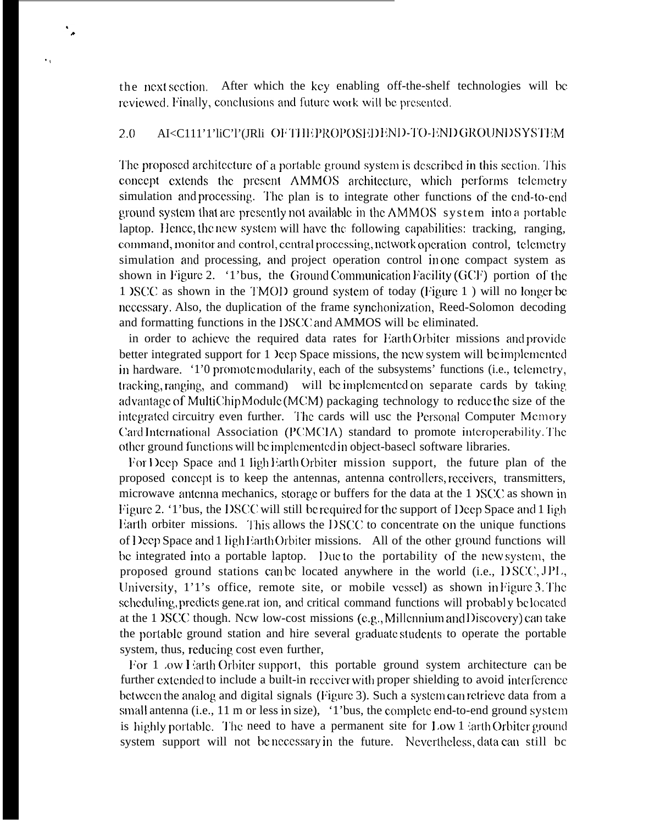the next section. After which the key enabling off-the-shelf technologies will be reviewed. Finally, conclusions and future work will be presented.

 $\ddot{\phantom{0}}$ 

 $\ddot{\phantom{0}}$ 

#### $2.0$ AI<C111'1'liC'l'(JRli OFTHEPROPOSEDEND-TO-ENDGROUNDSYSTEM

The proposed architecture of a portable ground system is described in this section. This concept extends the present AMMOS architecture, which performs telemetry simulation and processing. The plan is to integrate other functions of the end-to-end ground system that are presently not available in the AMMOS system into a portable laptop. Hence, the new system will have the following capabilities: tracking, ranging, command, monitor and control, central processing, network operation control, telemetry simulation and processing, and project operation control in one compact system as shown in Figure 2. '1'bus, the Ground Communication Facility (GCF) portion of the 1 OSCC as shown in the TMOD ground system of today (Figure 1) will no longer be necessary. Also, the duplication of the frame synchonization, Reed-Solomon decoding and formatting functions in the DSCC and AMMOS will be eliminated.

in order to achieve the required data rates for Earth Orbiter missions and provide better integrated support for 1 leep Space missions, the new system will be implemented in hardware. '1'0 promotemodularity, each of the subsystems' functions (i.e., telemetry, tracking, ranging, and command) will be implemented on separate cards by taking advantage of MultiChip Module (MCM) packaging technology to reduce the size of the integrated circuitry even further. The cards will use the Personal Computer Memory Card International Association (PCMCIA) standard to promote interoperability. The other ground functions will be implemented in object-basecl software libraries.

For Deep Space and 1 ligh Earth Orbiter mission support, the future plan of the proposed concept is to keep the antennas, antenna controllers, receivers, transmitters, microwave antenna mechanics, storage or buffers for the data at the 1 DSCC as shown in Figure 2. '1' bus, the DSCC will still be required for the support of Deep Space and 1 ligh Earth orbiter missions. This allows the DSCC to concentrate on the unique functions of Deep Space and 1 ligh Earth Orbiter missions. All of the other ground functions will be integrated into a portable laptop. Due to the portability of the new system, the proposed ground stations can be located anywhere in the world (i.e., DSCC, JPL, University, 1'1's office, remote site, or mobile vessel) as shown in Figure 3. The scheduling, predicts gene.rat ion, and critical command functions will probably belocated at the 1 NSCC though. New low-cost missions (e.g., Millennium and Discovery) can take the portable ground station and hire several graduate students to operate the portable system, thus, reducing cost even further,

For 1 .ow Farth Orbiter support, this portable ground system architecture can be further extended to include a built-in receiver with proper shielding to avoid interference between the analog and digital signals (Figure 3). Such a system can retrieve data from a small antenna (i.e., 11 m or less in size), '1'bus, the complete end-to-end ground system is highly portable. The need to have a permanent site for Low 1 larth Orbiter ground system support will not benecessary in the future. Nevertheless, data can still be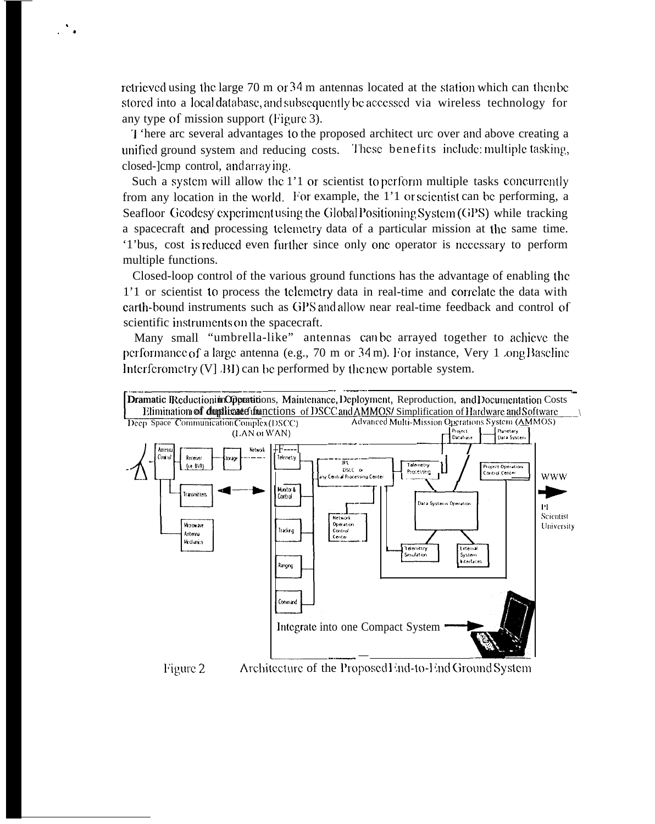rctricved using the large  $70 \text{ m}$  or  $34 \text{ m}$  antennas located at the station which can then be stored into a local database, and subsequently be accessed via wireless technology for any type of mission support (Figure 3).

. .\*

> '1 'here arc several advantages to the proposed architect urc over and above creating a unified ground system and reducing costs. These benefits include: multiple tasking, closed-lcmp control, and arraying.

> Such a system will allow the 1'1 or scientist to perform multiple tasks concurrently from any location in the world. For example, the  $1'1$  or scientist can be performing, a Seafloor Geodesy' experiment using the Global Positioning System (GPS) while tracking a spacecraft and processing telemetry data of a particular mission at the same time. '1'bus, cost is reduced even further since only one operator is necessary to perform multiple functions.

> Closed-loop control of the various ground functions has the advantage of enabling tbc 1'1 or scientist to process the tclcmctry data in real-time and corrclatc the data with earth-bound instruments such as GPS and allow near real-time feedback and control of scientific instruments on the spacecraft.

> Many small "umbrella-like" antennas can be arrayed together to achicvc the performance of a large antenna (e.g.,  $70 \text{ m}$  or  $34 \text{ m}$ ). For instance, Very 1 .ong Baseline



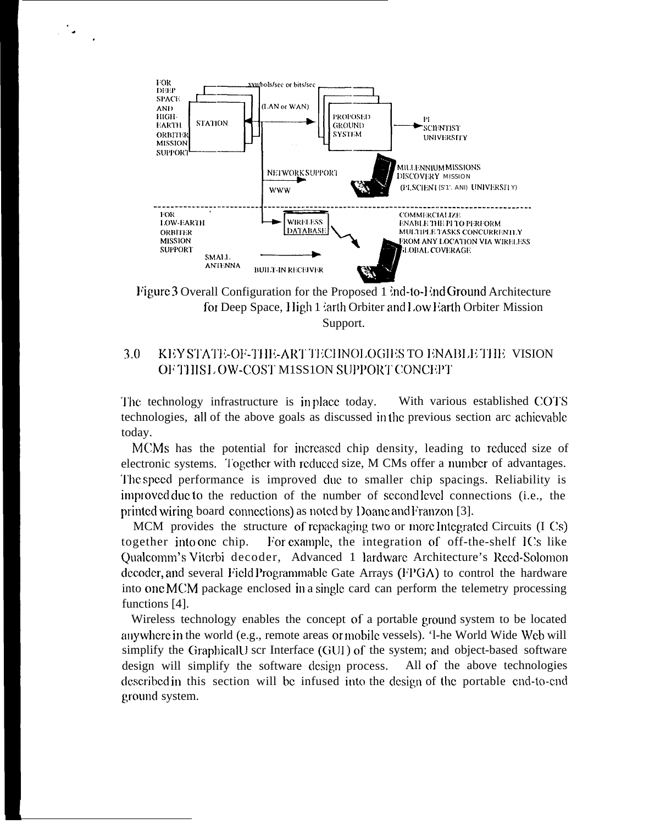

ania ani

Figure 3 Overall Configuration for the Proposed 1  $\text{ind}$ -to-End Ground Architecture for Deep Space, High 1  $\lambda$ arth Orbiter and Low Earth Orbiter Mission Support.

### $3.0$ KEY STATE-OF-THE-ART TECHNOLOGIES TO ENABLE THE VISION OF THIS LOW-COST M1SS1ON SUPPORT CONCEPT

With various established COTS The technology infrastructure is in place today. technologies, all of the above goals as discussed in the previous section are achievable today.

MCMs has the potential for increased chip density, leading to reduced size of electronic systems. Together with reduced size, M CMs offer a number of advantages. The speed performance is improved due to smaller chip spacings. Reliability is improved due to the reduction of the number of second level connections (i.e., the printed wiring board connections) as noted by Doane and Franzon [3].

MCM provides the structure of repackaging two or more Integrated Circuits (I Cs) together into one chip. For example, the integration of off-the-shelf ICs like Qualcomm's Viterbi decoder, Advanced 1 lardware Architecture's Reed-Solomon decoder, and several Field Programmable Gate Arrays (FPGA) to control the hardware into one MCM package enclosed in a single card can perform the telemetry processing functions [4].

Wireless technology enables the concept of a portable ground system to be located anywhere in the world (e.g., remote areas or mobile vessels). '1-he World Wide Web will simplify the GraphicalU scr Interface (GUI) of the system; and object-based software design will simplify the software design process. All of the above technologies described in this section will be infused into the design of the portable end-to-end ground system.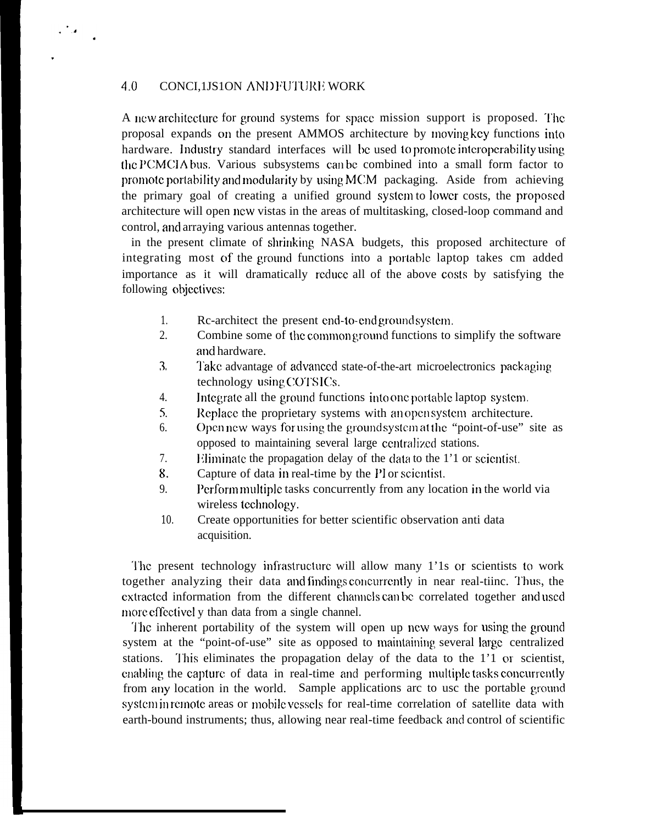## 4.0 CONCL1JS1ON AND FUTURE WORK

.

 $\mathcal{L}^{\text{max}}$ 

A new architecture for ground systems for space mission support is proposed. The proposal expands on the present AMMOS architecture by Inoving kcy functions into hardware. Industry standard interfaces will be used to promote interoperability using the PCMCIA bus. Various subsystems can be combined into a small form factor to promote portability and modularity by using  $MCM$  packaging. Aside from achieving the primary goal of creating a unified ground system to lower costs, the proposed architecture will open ncw vistas in the areas of multitasking, closed-loop command and control, and arraying various antennas together.

in the present climate of shrinking NASA budgets, this proposed architecture of integrating most of the ground functions into a portable laptop takes cm added importance as it will dramatically rcducc all of the above costs by satisfying the following objcctivcs:

- *1.* Rc-architect the present end-to-end ground system.
- 2. Combine some of the common ground functions to simplify the software and hardware.
- **. . 3** Take advantage of advanced state-of-the-art microelectronics packaging technology using COTSICs.
- 4. Integrate all the ground functions into one portable laptop system.
- $5.$ Replace the proprietary systems with an open system architecture.
- 6. Open new ways for using the ground system at the "point-of-use" site as opposed to maintaining several large centralized stations.
- 7. Eliminate the propagation delay of the data to the  $1'1$  or scientist.
- 8. Capture of data in real-time by the PI or scientist.
- 9. l'crform multip]c tasks concurrently from any location in the world via wireless technology.
- *10.* Create opportunities for better scientific observation anti data acquisition.

The present technology infrastructure will allow many 1'1s or scientists to work together analyzing their data and findings concurrently in near real-tiinc. Thus, the cxtractcd information from the different chamcls can bc correlated together and used more effectivel y than data from a single channel.

The inherent portability of the system will open up new ways for using the ground system at the "point-of-use" site as opposed to maintaining several large centralized stations. This eliminates the propagation delay of the data to the 1'1 or scientist, enabling the capture of data in real-time and performing multiple tasks concurrently from any location in the world. Sample applications arc to usc the portable ground system in remote areas or mobile vessels for real-time correlation of satellite data with earth-bound instruments; thus, allowing near real-time feedback and control of scientific